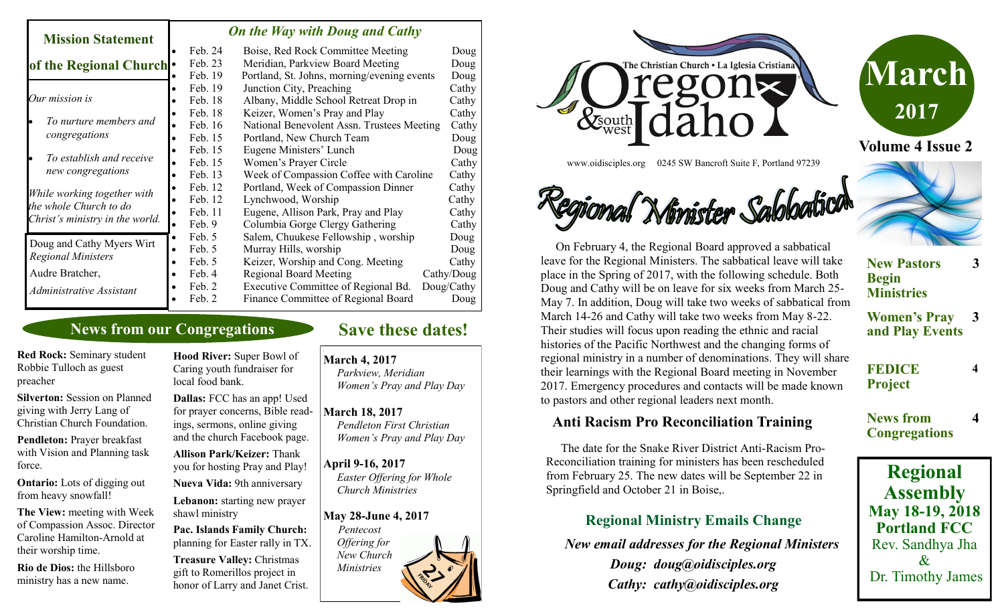| <b>Mission Statement</b>                                                                 |           | <b>On the Way with Doug and Cathy</b> |                                             |            |  |
|------------------------------------------------------------------------------------------|-----------|---------------------------------------|---------------------------------------------|------------|--|
|                                                                                          |           | Feb. 24                               | Boise, Red Rock Committee Meeting           | Doug       |  |
| of the Regional Church .                                                                 |           | Feb. 23                               | Meridian, Parkview Board Meeting            | Doug       |  |
|                                                                                          |           | Feb. 19                               | Portland, St. Johns, morning/evening events | Doug       |  |
| Our mission is<br>To nurture members and<br>congregations                                |           | Feb. 19                               | Junction City, Preaching                    | Cathy      |  |
|                                                                                          |           | Feb. 18                               | Albany, Middle School Retreat Drop in       | Cathy      |  |
|                                                                                          |           | Feb. 18                               | Keizer, Women's Pray and Play               | Cathy      |  |
|                                                                                          |           | Feb. 16                               | National Benevolent Assn. Trustees Meeting  | Cathy      |  |
|                                                                                          |           | Feb. 15                               | Portland, New Church Team                   | Doug       |  |
| To establish and receive<br>new congregations                                            |           | Feb. 15                               | Eugene Ministers' Lunch                     | Doug       |  |
|                                                                                          |           | Feb. 15                               | Women's Prayer Circle                       | Cathy      |  |
|                                                                                          |           | Feb. 13                               | Week of Compassion Coffee with Caroline     | Cathy      |  |
| While working together with<br>the whole Church to do<br>Christ's ministry in the world. |           | Feb. 12                               | Portland, Week of Compassion Dinner         | Cathy      |  |
|                                                                                          |           | Feb. 12                               | Lynchwood, Worship                          | Cathy      |  |
|                                                                                          |           | Feb. 11                               | Eugene, Allison Park, Pray and Play         | Cathy      |  |
|                                                                                          |           | Feb. 9                                | Columbia Gorge Clergy Gathering             | Cathy      |  |
| Doug and Cathy Myers Wirt<br><b>Regional Ministers</b>                                   | $\bullet$ | Feb. 5                                | Salem, Chuukese Fellowship, worship         | Doug       |  |
|                                                                                          | $\bullet$ | Feb. 5                                | Murray Hills, worship                       | Doug       |  |
|                                                                                          |           | Feb. 5                                | Keizer, Worship and Cong. Meeting           | Cathy      |  |
| Audre Bratcher,                                                                          |           | Feb. 4                                | <b>Regional Board Meeting</b>               | Cathy/Doug |  |
| Administrative Assistant                                                                 |           | Feb. 2                                | Executive Committee of Regional Bd.         | Doug/Cathy |  |
|                                                                                          |           | Feb. 2                                | Finance Committee of Regional Board         | Doug       |  |

### **News from our Congregations**

**Red Rock:** Seminary student Robbie Tulloch as guest preacher

**Silverton:** Session on Planned giving with Jerry Lang of Christian Church Foundation.

**Pendleton:** Prayer breakfast with Vision and Planning task force.

**Ontario:** Lots of digging out from heavy snowfall!

**The View:** meeting with Week of Compassion Assoc. Director Caroline Hamilton-Arnold at their worship time.

**Rio de Dios:** the Hillsboro ministry has a new name.

**Hood River:** Super Bowl of Caring youth fundraiser for local food bank.

**Dallas:** FCC has an app! Used for prayer concerns, Bible readings, sermons, online giving and the church Facebook page.

**Allison Park/Keizer:** Thank you for hosting Pray and Play!

**Nueva Vida:** 9th anniversary **Lebanon:** starting new prayer shawl ministry

**Pac. Islands Family Church:**  planning for Easter rally in TX.

**Treasure Valley:** Christmas gift to Romerillos project in honor of Larry and Janet Crist.

## **Save these dates!**

**March 4, 2017**

 *Parkview, Meridian Women's Pray and Play Day*

#### **March 18, 2017**  *Pendleton First Christian*

 *Women's Pray and Play Day*

#### **April 9-16, 2017**  *Easter Offering for Whole*

 *Church Ministries*

#### **May 28-June 4, 2017**

*Pentecost Offering for New Church Ministries*





www.oidisciples.org 0245 SW Bancroft Suite F, Portland 97239

# Egional Minister Sabbatica



### **Anti Racism Pro Reconciliation Training**

 The date for the Snake River District Anti-Racism Pro-Reconciliation training for ministers has been rescheduled from February 25. The new dates will be September 22 in Springfield and October 21 in Boise,.

### **Regional Ministry Emails Change**

 *New email addresses for the Regional Ministers*

*Doug: doug@oidisciples.org Cathy: cathy@oidisciples.org*

# **New Pastors Begin Ministries 3**

**Women's Pray and Play Events 3**

**4**

**4**

**FEDICE Project**

**News from Congregations**

# **Regional Assembly May 18-19, 2018 Portland FCC** Rev. Sandhya Jha  $\mathcal{X}$ Dr. Timothy James